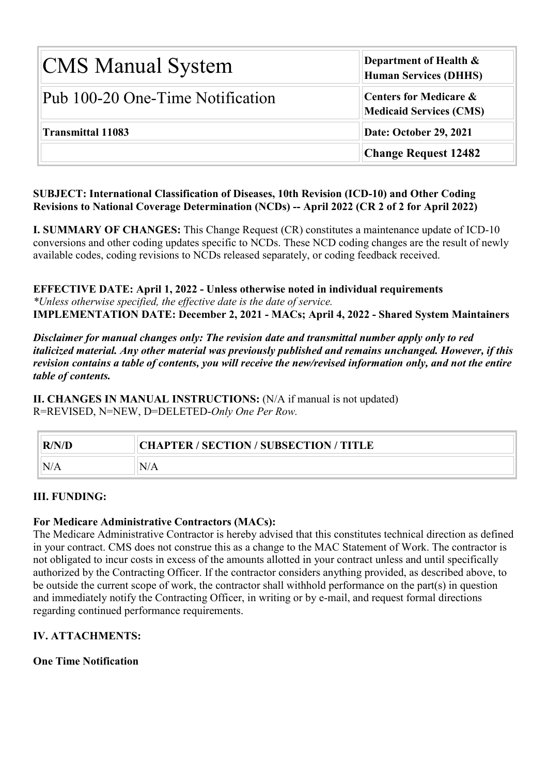| <b>CMS Manual System</b>         | Department of Health &<br><b>Human Services (DHHS)</b>              |  |  |  |
|----------------------------------|---------------------------------------------------------------------|--|--|--|
| Pub 100-20 One-Time Notification | <b>Centers for Medicare &amp;</b><br><b>Medicaid Services (CMS)</b> |  |  |  |
| <b>Transmittal 11083</b>         | Date: October 29, 2021                                              |  |  |  |
|                                  | <b>Change Request 12482</b>                                         |  |  |  |

#### **SUBJECT: International Classification of Diseases, 10th Revision (ICD-10) and Other Coding Revisions to National Coverage Determination (NCDs) -- April 2022 (CR 2 of 2 for April 2022)**

**I. SUMMARY OF CHANGES:** This Change Request (CR) constitutes a maintenance update of ICD-10 conversions and other coding updates specific to NCDs. These NCD coding changes are the result of newly available codes, coding revisions to NCDs released separately, or coding feedback received.

**EFFECTIVE DATE: April 1, 2022 - Unless otherwise noted in individual requirements** *\*Unless otherwise specified, the effective date is the date of service.* **IMPLEMENTATION DATE: December 2, 2021 - MACs; April 4, 2022 - Shared System Maintainers**

*Disclaimer for manual changes only: The revision date and transmittal number apply only to red italicized material. Any other material was previously published and remains unchanged. However, if this revision contains a table of contents, you will receive the new/revised information only, and not the entire table of contents.*

**II. CHANGES IN MANUAL INSTRUCTIONS:** (N/A if manual is not updated) R=REVISED, N=NEW, D=DELETED-*Only One Per Row.*

| R/N/D | <b>CHAPTER / SECTION / SUBSECTION / TITLE</b> |
|-------|-----------------------------------------------|
|       | N/A                                           |

#### **III. FUNDING:**

#### **For Medicare Administrative Contractors (MACs):**

The Medicare Administrative Contractor is hereby advised that this constitutes technical direction as defined in your contract. CMS does not construe this as a change to the MAC Statement of Work. The contractor is not obligated to incur costs in excess of the amounts allotted in your contract unless and until specifically authorized by the Contracting Officer. If the contractor considers anything provided, as described above, to be outside the current scope of work, the contractor shall withhold performance on the part(s) in question and immediately notify the Contracting Officer, in writing or by e-mail, and request formal directions regarding continued performance requirements.

#### **IV. ATTACHMENTS:**

**One Time Notification**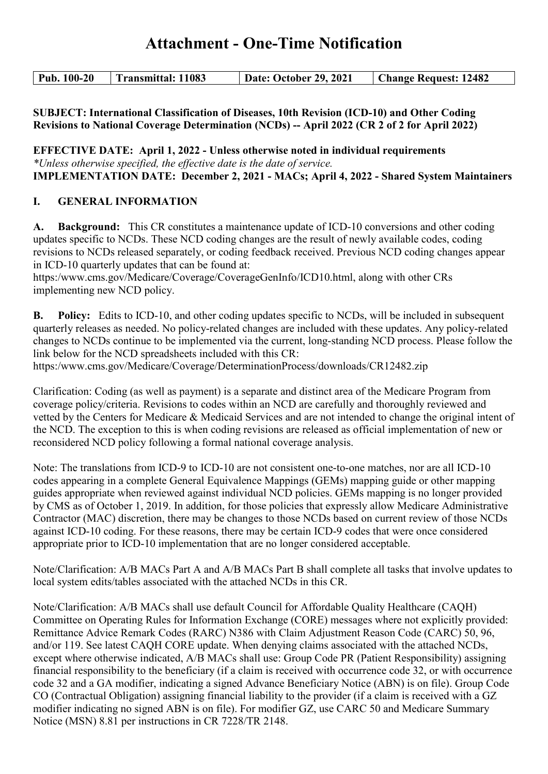# **Attachment - One-Time Notification**

| $\vert$ Pub. 100-20<br>Transmittal: 11083 | Date: October 29, 2021 | <b>Change Request: 12482</b> |
|-------------------------------------------|------------------------|------------------------------|
|-------------------------------------------|------------------------|------------------------------|

**SUBJECT: International Classification of Diseases, 10th Revision (ICD-10) and Other Coding Revisions to National Coverage Determination (NCDs) -- April 2022 (CR 2 of 2 for April 2022)**

**EFFECTIVE DATE: April 1, 2022 - Unless otherwise noted in individual requirements** *\*Unless otherwise specified, the effective date is the date of service.* **IMPLEMENTATION DATE: December 2, 2021 - MACs; April 4, 2022 - Shared System Maintainers**

#### **I. GENERAL INFORMATION**

**A. Background:** This CR constitutes a maintenance update of ICD-10 conversions and other coding updates specific to NCDs. These NCD coding changes are the result of newly available codes, coding revisions to NCDs released separately, or coding feedback received. Previous NCD coding changes appear in ICD-10 quarterly updates that can be found at:

https:/www.cms.gov/Medicare/Coverage/CoverageGenInfo/ICD10.html, along with other CRs implementing new NCD policy.

**B. Policy:** Edits to ICD-10, and other coding updates specific to NCDs, will be included in subsequent quarterly releases as needed. No policy-related changes are included with these updates. Any policy-related changes to NCDs continue to be implemented via the current, long-standing NCD process. Please follow the link below for the NCD spreadsheets included with this CR:

https:/www.cms.gov/Medicare/Coverage/DeterminationProcess/downloads/CR12482.zip

Clarification: Coding (as well as payment) is a separate and distinct area of the Medicare Program from coverage policy/criteria. Revisions to codes within an NCD are carefully and thoroughly reviewed and vetted by the Centers for Medicare & Medicaid Services and are not intended to change the original intent of the NCD. The exception to this is when coding revisions are released as official implementation of new or reconsidered NCD policy following a formal national coverage analysis.

Note: The translations from ICD-9 to ICD-10 are not consistent one-to-one matches, nor are all ICD-10 codes appearing in a complete General Equivalence Mappings (GEMs) mapping guide or other mapping guides appropriate when reviewed against individual NCD policies. GEMs mapping is no longer provided by CMS as of October 1, 2019. In addition, for those policies that expressly allow Medicare Administrative Contractor (MAC) discretion, there may be changes to those NCDs based on current review of those NCDs against ICD-10 coding. For these reasons, there may be certain ICD-9 codes that were once considered appropriate prior to ICD-10 implementation that are no longer considered acceptable.

Note/Clarification: A/B MACs Part A and A/B MACs Part B shall complete all tasks that involve updates to local system edits/tables associated with the attached NCDs in this CR.

Note/Clarification: A/B MACs shall use default Council for Affordable Quality Healthcare (CAQH) Committee on Operating Rules for Information Exchange (CORE) messages where not explicitly provided: Remittance Advice Remark Codes (RARC) N386 with Claim Adjustment Reason Code (CARC) 50, 96, and/or 119. See latest CAQH CORE update. When denying claims associated with the attached NCDs, except where otherwise indicated, A/B MACs shall use: Group Code PR (Patient Responsibility) assigning financial responsibility to the beneficiary (if a claim is received with occurrence code 32, or with occurrence code 32 and a GA modifier, indicating a signed Advance Beneficiary Notice (ABN) is on file). Group Code CO (Contractual Obligation) assigning financial liability to the provider (if a claim is received with a GZ modifier indicating no signed ABN is on file). For modifier GZ, use CARC 50 and Medicare Summary Notice (MSN) 8.81 per instructions in CR 7228/TR 2148.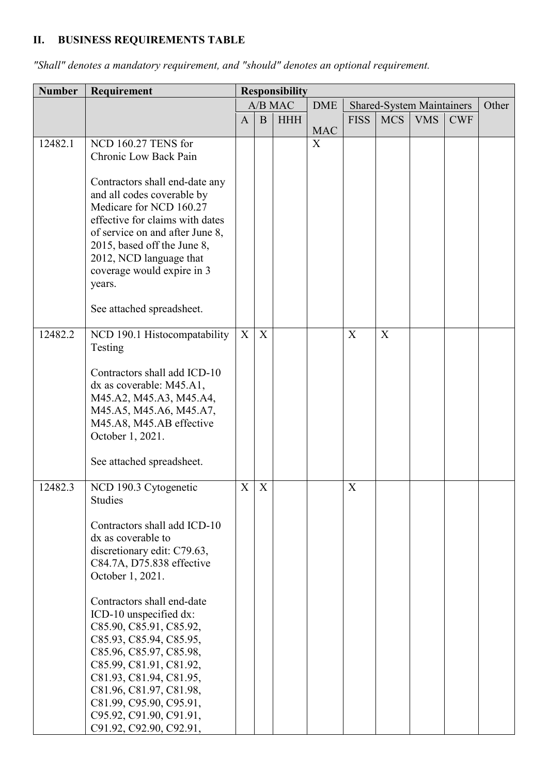## **II. BUSINESS REQUIREMENTS TABLE**

| <b>Number</b> | Requirement                                                                                                                                                                                                                                                                                                                                                                                                                                                                       | <b>Responsibility</b> |                           |            |            |             |            |                                  |            |       |
|---------------|-----------------------------------------------------------------------------------------------------------------------------------------------------------------------------------------------------------------------------------------------------------------------------------------------------------------------------------------------------------------------------------------------------------------------------------------------------------------------------------|-----------------------|---------------------------|------------|------------|-------------|------------|----------------------------------|------------|-------|
|               |                                                                                                                                                                                                                                                                                                                                                                                                                                                                                   |                       |                           | A/B MAC    | <b>DME</b> |             |            | <b>Shared-System Maintainers</b> |            | Other |
|               |                                                                                                                                                                                                                                                                                                                                                                                                                                                                                   | A                     | B                         | <b>HHH</b> | <b>MAC</b> | <b>FISS</b> | <b>MCS</b> | <b>VMS</b>                       | <b>CWF</b> |       |
| 12482.1       | NCD 160.27 TENS for<br>Chronic Low Back Pain                                                                                                                                                                                                                                                                                                                                                                                                                                      |                       |                           |            | X          |             |            |                                  |            |       |
|               | Contractors shall end-date any<br>and all codes coverable by<br>Medicare for NCD 160.27<br>effective for claims with dates<br>of service on and after June 8,<br>2015, based off the June 8,<br>2012, NCD language that<br>coverage would expire in 3<br>years.                                                                                                                                                                                                                   |                       |                           |            |            |             |            |                                  |            |       |
|               | See attached spreadsheet.                                                                                                                                                                                                                                                                                                                                                                                                                                                         |                       |                           |            |            |             |            |                                  |            |       |
| 12482.2       | NCD 190.1 Histocompatability<br>Testing<br>Contractors shall add ICD-10<br>dx as coverable: M45.A1,<br>M45.A2, M45.A3, M45.A4,<br>M45.A5, M45.A6, M45.A7,<br>M45.A8, M45.AB effective<br>October 1, 2021.<br>See attached spreadsheet.                                                                                                                                                                                                                                            | X                     | X                         |            |            | X           | X          |                                  |            |       |
| 12482.3       | NCD 190.3 Cytogenetic<br>Studies<br>Contractors shall add ICD-10<br>dx as coverable to<br>discretionary edit: C79.63,<br>C84.7A, D75.838 effective<br>October 1, 2021.<br>Contractors shall end-date<br>ICD-10 unspecified dx:<br>C85.90, C85.91, C85.92,<br>C85.93, C85.94, C85.95,<br>C85.96, C85.97, C85.98,<br>C85.99, C81.91, C81.92,<br>C81.93, C81.94, C81.95,<br>C81.96, C81.97, C81.98,<br>C81.99, C95.90, C95.91,<br>C95.92, C91.90, C91.91,<br>C91.92, C92.90, C92.91, | $X_{\mathcal{E}}$     | $\boldsymbol{\mathrm{X}}$ |            |            | X           |            |                                  |            |       |

*"Shall" denotes a mandatory requirement, and "should" denotes an optional requirement.*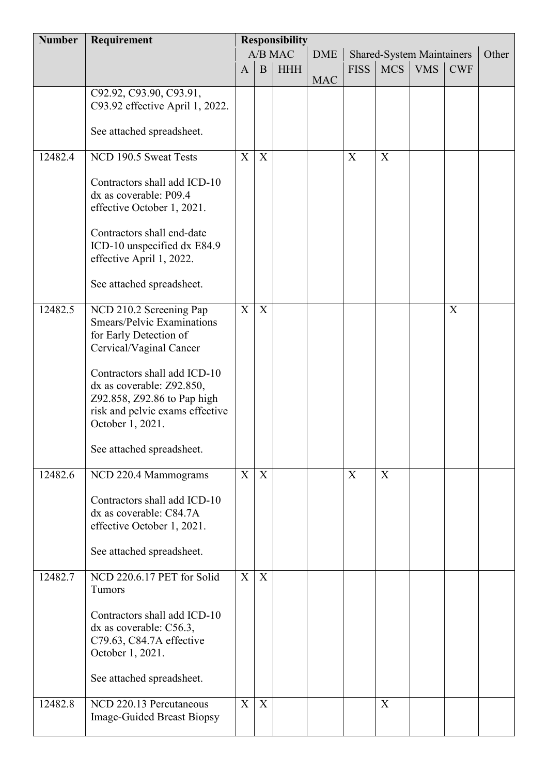| <b>Number</b> | <b>Responsibility</b><br>Requirement                   |              |              |            |            |             |                                  |            |            |       |
|---------------|--------------------------------------------------------|--------------|--------------|------------|------------|-------------|----------------------------------|------------|------------|-------|
|               |                                                        |              |              | A/B MAC    | <b>DME</b> |             | <b>Shared-System Maintainers</b> |            |            | Other |
|               |                                                        | $\mathbf{A}$ | $\mathbf{B}$ | <b>HHH</b> |            | <b>FISS</b> | <b>MCS</b>                       | <b>VMS</b> | <b>CWF</b> |       |
|               |                                                        |              |              |            | <b>MAC</b> |             |                                  |            |            |       |
|               | C92.92, C93.90, C93.91,                                |              |              |            |            |             |                                  |            |            |       |
|               | C93.92 effective April 1, 2022.                        |              |              |            |            |             |                                  |            |            |       |
|               |                                                        |              |              |            |            |             |                                  |            |            |       |
|               | See attached spreadsheet.                              |              |              |            |            |             |                                  |            |            |       |
|               |                                                        |              |              |            |            |             |                                  |            |            |       |
| 12482.4       | NCD 190.5 Sweat Tests                                  | X            | X            |            |            | $\mathbf X$ | X                                |            |            |       |
|               |                                                        |              |              |            |            |             |                                  |            |            |       |
|               | Contractors shall add ICD-10<br>dx as coverable: P09.4 |              |              |            |            |             |                                  |            |            |       |
|               |                                                        |              |              |            |            |             |                                  |            |            |       |
|               | effective October 1, 2021.                             |              |              |            |            |             |                                  |            |            |       |
|               | Contractors shall end-date                             |              |              |            |            |             |                                  |            |            |       |
|               | ICD-10 unspecified dx E84.9                            |              |              |            |            |             |                                  |            |            |       |
|               | effective April 1, 2022.                               |              |              |            |            |             |                                  |            |            |       |
|               |                                                        |              |              |            |            |             |                                  |            |            |       |
|               | See attached spreadsheet.                              |              |              |            |            |             |                                  |            |            |       |
|               |                                                        |              |              |            |            |             |                                  |            |            |       |
| 12482.5       | NCD 210.2 Screening Pap                                | X            | X            |            |            |             |                                  |            | X          |       |
|               | <b>Smears/Pelvic Examinations</b>                      |              |              |            |            |             |                                  |            |            |       |
|               | for Early Detection of                                 |              |              |            |            |             |                                  |            |            |       |
|               | Cervical/Vaginal Cancer                                |              |              |            |            |             |                                  |            |            |       |
|               |                                                        |              |              |            |            |             |                                  |            |            |       |
|               | Contractors shall add ICD-10                           |              |              |            |            |             |                                  |            |            |       |
|               | dx as coverable: Z92.850,                              |              |              |            |            |             |                                  |            |            |       |
|               | Z92.858, Z92.86 to Pap high                            |              |              |            |            |             |                                  |            |            |       |
|               | risk and pelvic exams effective<br>October 1, 2021.    |              |              |            |            |             |                                  |            |            |       |
|               |                                                        |              |              |            |            |             |                                  |            |            |       |
|               | See attached spreadsheet.                              |              |              |            |            |             |                                  |            |            |       |
|               |                                                        |              |              |            |            |             |                                  |            |            |       |
| 12482.6       | NCD 220.4 Mammograms                                   | X            | X            |            |            | $\mathbf X$ | X                                |            |            |       |
|               |                                                        |              |              |            |            |             |                                  |            |            |       |
|               | Contractors shall add ICD-10                           |              |              |            |            |             |                                  |            |            |       |
|               | dx as coverable: C84.7A                                |              |              |            |            |             |                                  |            |            |       |
|               | effective October 1, 2021.                             |              |              |            |            |             |                                  |            |            |       |
|               |                                                        |              |              |            |            |             |                                  |            |            |       |
|               | See attached spreadsheet.                              |              |              |            |            |             |                                  |            |            |       |
|               |                                                        |              |              |            |            |             |                                  |            |            |       |
| 12482.7       | NCD 220.6.17 PET for Solid                             | X            | X            |            |            |             |                                  |            |            |       |
|               | Tumors                                                 |              |              |            |            |             |                                  |            |            |       |
|               | Contractors shall add ICD-10                           |              |              |            |            |             |                                  |            |            |       |
|               | dx as coverable: C56.3,                                |              |              |            |            |             |                                  |            |            |       |
|               | C79.63, C84.7A effective                               |              |              |            |            |             |                                  |            |            |       |
|               | October 1, 2021.                                       |              |              |            |            |             |                                  |            |            |       |
|               |                                                        |              |              |            |            |             |                                  |            |            |       |
|               | See attached spreadsheet.                              |              |              |            |            |             |                                  |            |            |       |
|               |                                                        |              |              |            |            |             |                                  |            |            |       |
| 12482.8       | NCD 220.13 Percutaneous                                | X            | X            |            |            |             | X                                |            |            |       |
|               | Image-Guided Breast Biopsy                             |              |              |            |            |             |                                  |            |            |       |
|               |                                                        |              |              |            |            |             |                                  |            |            |       |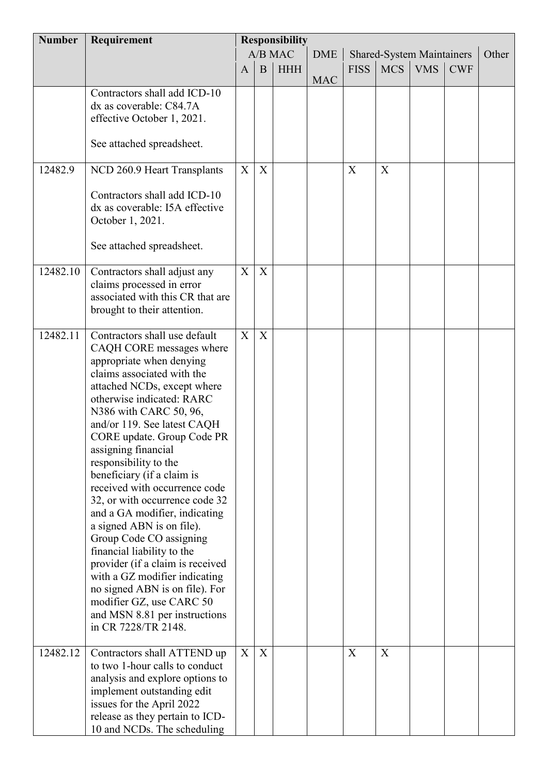| <b>Number</b> | Requirement                                                    | <b>Responsibility</b> |                  |            |            |                           |                                  |            |            |       |
|---------------|----------------------------------------------------------------|-----------------------|------------------|------------|------------|---------------------------|----------------------------------|------------|------------|-------|
|               |                                                                |                       |                  | A/B MAC    | <b>DME</b> |                           | <b>Shared-System Maintainers</b> |            |            | Other |
|               |                                                                | $\mathbf{A}$          | $\bf{B}$         | <b>HHH</b> |            | <b>FISS</b>               | <b>MCS</b>                       | <b>VMS</b> | <b>CWF</b> |       |
|               |                                                                |                       |                  |            | <b>MAC</b> |                           |                                  |            |            |       |
|               | Contractors shall add ICD-10<br>dx as coverable: C84.7A        |                       |                  |            |            |                           |                                  |            |            |       |
|               | effective October 1, 2021.                                     |                       |                  |            |            |                           |                                  |            |            |       |
|               |                                                                |                       |                  |            |            |                           |                                  |            |            |       |
|               | See attached spreadsheet.                                      |                       |                  |            |            |                           |                                  |            |            |       |
| 12482.9       | NCD 260.9 Heart Transplants                                    | X                     | X                |            |            | $\boldsymbol{\mathrm{X}}$ | X                                |            |            |       |
|               |                                                                |                       |                  |            |            |                           |                                  |            |            |       |
|               | Contractors shall add ICD-10                                   |                       |                  |            |            |                           |                                  |            |            |       |
|               | dx as coverable: I5A effective<br>October 1, 2021.             |                       |                  |            |            |                           |                                  |            |            |       |
|               |                                                                |                       |                  |            |            |                           |                                  |            |            |       |
|               | See attached spreadsheet.                                      |                       |                  |            |            |                           |                                  |            |            |       |
| 12482.10      | Contractors shall adjust any                                   | X                     | X                |            |            |                           |                                  |            |            |       |
|               | claims processed in error                                      |                       |                  |            |            |                           |                                  |            |            |       |
|               | associated with this CR that are                               |                       |                  |            |            |                           |                                  |            |            |       |
|               | brought to their attention.                                    |                       |                  |            |            |                           |                                  |            |            |       |
| 12482.11      | Contractors shall use default                                  | X                     | X                |            |            |                           |                                  |            |            |       |
|               | CAQH CORE messages where                                       |                       |                  |            |            |                           |                                  |            |            |       |
|               | appropriate when denying                                       |                       |                  |            |            |                           |                                  |            |            |       |
|               | claims associated with the<br>attached NCDs, except where      |                       |                  |            |            |                           |                                  |            |            |       |
|               | otherwise indicated: RARC                                      |                       |                  |            |            |                           |                                  |            |            |       |
|               | N386 with CARC 50, 96,                                         |                       |                  |            |            |                           |                                  |            |            |       |
|               | and/or 119. See latest CAQH                                    |                       |                  |            |            |                           |                                  |            |            |       |
|               | CORE update. Group Code PR                                     |                       |                  |            |            |                           |                                  |            |            |       |
|               | assigning financial<br>responsibility to the                   |                       |                  |            |            |                           |                                  |            |            |       |
|               | beneficiary (if a claim is                                     |                       |                  |            |            |                           |                                  |            |            |       |
|               | received with occurrence code                                  |                       |                  |            |            |                           |                                  |            |            |       |
|               | 32, or with occurrence code 32                                 |                       |                  |            |            |                           |                                  |            |            |       |
|               | and a GA modifier, indicating                                  |                       |                  |            |            |                           |                                  |            |            |       |
|               | a signed ABN is on file).                                      |                       |                  |            |            |                           |                                  |            |            |       |
|               | Group Code CO assigning                                        |                       |                  |            |            |                           |                                  |            |            |       |
|               | financial liability to the<br>provider (if a claim is received |                       |                  |            |            |                           |                                  |            |            |       |
|               | with a GZ modifier indicating                                  |                       |                  |            |            |                           |                                  |            |            |       |
|               | no signed ABN is on file). For                                 |                       |                  |            |            |                           |                                  |            |            |       |
|               | modifier GZ, use CARC 50                                       |                       |                  |            |            |                           |                                  |            |            |       |
|               | and MSN 8.81 per instructions                                  |                       |                  |            |            |                           |                                  |            |            |       |
|               | in CR 7228/TR 2148.                                            |                       |                  |            |            |                           |                                  |            |            |       |
| 12482.12      | Contractors shall ATTEND up                                    | X                     | $\boldsymbol{X}$ |            |            | $\boldsymbol{\mathrm{X}}$ | X                                |            |            |       |
|               | to two 1-hour calls to conduct                                 |                       |                  |            |            |                           |                                  |            |            |       |
|               | analysis and explore options to<br>implement outstanding edit  |                       |                  |            |            |                           |                                  |            |            |       |
|               | issues for the April 2022                                      |                       |                  |            |            |                           |                                  |            |            |       |
|               | release as they pertain to ICD-                                |                       |                  |            |            |                           |                                  |            |            |       |
|               | 10 and NCDs. The scheduling                                    |                       |                  |            |            |                           |                                  |            |            |       |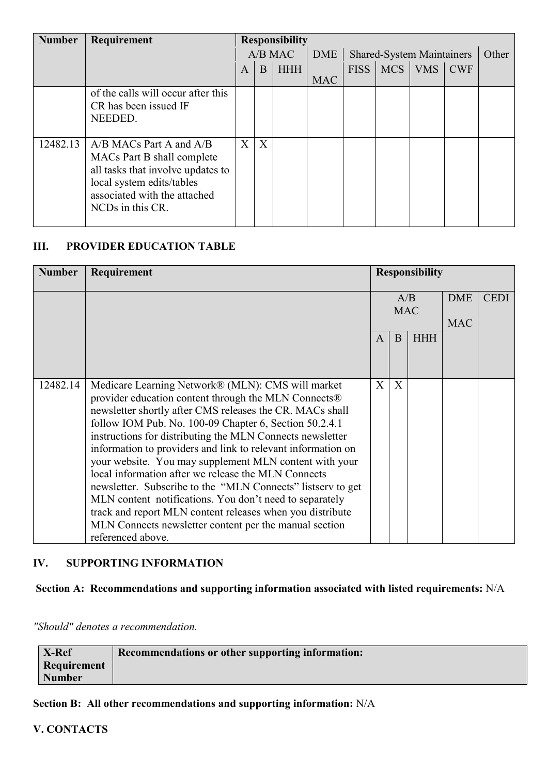| <b>Number</b> | Requirement                        |              |   | <b>Responsibility</b> |                                  |             |            |            |            |  |
|---------------|------------------------------------|--------------|---|-----------------------|----------------------------------|-------------|------------|------------|------------|--|
|               |                                    | A/B MAC      |   | <b>DME</b>            | <b>Shared-System Maintainers</b> |             |            |            | Other      |  |
|               |                                    | $\mathbf{A}$ | B | <b>HHH</b>            |                                  | <b>FISS</b> | <b>MCS</b> | <b>VMS</b> | <b>CWF</b> |  |
|               |                                    |              |   |                       | <b>MAC</b>                       |             |            |            |            |  |
|               | of the calls will occur after this |              |   |                       |                                  |             |            |            |            |  |
|               | CR has been issued IF              |              |   |                       |                                  |             |            |            |            |  |
|               | NEEDED.                            |              |   |                       |                                  |             |            |            |            |  |
|               |                                    |              |   |                       |                                  |             |            |            |            |  |
| 12482.13      | $A/B$ MACs Part A and $A/B$        | X            | X |                       |                                  |             |            |            |            |  |
|               | MACs Part B shall complete         |              |   |                       |                                  |             |            |            |            |  |
|               | all tasks that involve updates to  |              |   |                       |                                  |             |            |            |            |  |
|               | local system edits/tables          |              |   |                       |                                  |             |            |            |            |  |
|               | associated with the attached       |              |   |                       |                                  |             |            |            |            |  |
|               | NCD <sub>s</sub> in this CR.       |              |   |                       |                                  |             |            |            |            |  |
|               |                                    |              |   |                       |                                  |             |            |            |            |  |

#### **III. PROVIDER EDUCATION TABLE**

| <b>Number</b> | Requirement                                                                                                                                                                                                                                                                                                                                                                                                                                                                                                                                                                                                                                                                                                                                         |              |                   | <b>Responsibility</b> |                          |             |
|---------------|-----------------------------------------------------------------------------------------------------------------------------------------------------------------------------------------------------------------------------------------------------------------------------------------------------------------------------------------------------------------------------------------------------------------------------------------------------------------------------------------------------------------------------------------------------------------------------------------------------------------------------------------------------------------------------------------------------------------------------------------------------|--------------|-------------------|-----------------------|--------------------------|-------------|
|               |                                                                                                                                                                                                                                                                                                                                                                                                                                                                                                                                                                                                                                                                                                                                                     |              | A/B<br><b>MAC</b> |                       | <b>DME</b><br><b>MAC</b> | <b>CEDI</b> |
|               |                                                                                                                                                                                                                                                                                                                                                                                                                                                                                                                                                                                                                                                                                                                                                     | $\mathsf{A}$ | B                 | <b>HHH</b>            |                          |             |
| 12482.14      | Medicare Learning Network® (MLN): CMS will market<br>provider education content through the MLN Connects®<br>newsletter shortly after CMS releases the CR. MACs shall<br>follow IOM Pub. No. 100-09 Chapter 6, Section 50.2.4.1<br>instructions for distributing the MLN Connects newsletter<br>information to providers and link to relevant information on<br>your website. You may supplement MLN content with your<br>local information after we release the MLN Connects<br>newsletter. Subscribe to the "MLN Connects" listserv to get<br>MLN content notifications. You don't need to separately<br>track and report MLN content releases when you distribute<br>MLN Connects newsletter content per the manual section<br>referenced above. | $\mathbf{X}$ | X                 |                       |                          |             |

#### **IV. SUPPORTING INFORMATION**

### **Section A: Recommendations and supporting information associated with listed requirements:** N/A

*"Should" denotes a recommendation.*

| X-Ref       | Recommendations or other supporting information: |
|-------------|--------------------------------------------------|
| Requirement |                                                  |
| Number      |                                                  |

**Section B: All other recommendations and supporting information:** N/A

**V. CONTACTS**